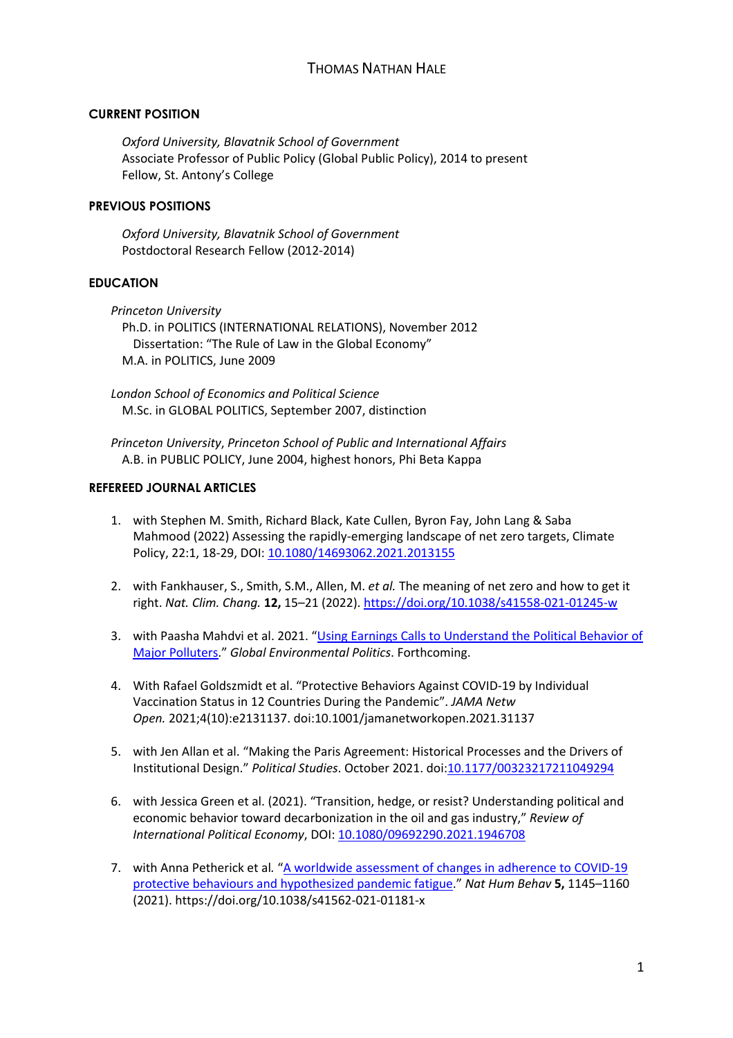### **CURRENT POSITION**

*Oxford University, Blavatnik School of Government* Associate Professor of Public Policy (Global Public Policy), 2014 to present Fellow, St. Antony's College

### **PREVIOUS POSITIONS**

*Oxford University, Blavatnik School of Government* Postdoctoral Research Fellow (2012-2014)

### **EDUCATION**

*Princeton University* Ph.D. in POLITICS (INTERNATIONAL RELATIONS), November 2012 Dissertation: "The Rule of Law in the Global Economy" M.A. in POLITICS, June 2009

*London School of Economics and Political Science* M.Sc. in GLOBAL POLITICS, September 2007, distinction

*Princeton University*, *Princeton School of Public and International Affairs* A.B. in PUBLIC POLICY, June 2004, highest honors, Phi Beta Kappa

### **REFEREED JOURNAL ARTICLES**

- 1. with Stephen M. Smith, Richard Black, Kate Cullen, Byron Fay, John Lang & Saba Mahmood (2022) Assessing the rapidly-emerging landscape of net zero targets, Climate Policy, 22:1, 18-29, DOI: 10.1080/14693062.2021.2013155
- 2. with Fankhauser, S., Smith, S.M., Allen, M. *et al.* The meaning of net zero and how to get it right. *Nat. Clim. Chang.* **12,** 15–21 (2022). https://doi.org/10.1038/s41558-021-01245-w
- 3. with Paasha Mahdvi et al. 2021. "Using Earnings Calls to Understand the Political Behavior of Major Polluters." *Global Environmental Politics*. Forthcoming.
- 4. With Rafael Goldszmidt et al. "Protective Behaviors Against COVID-19 by Individual Vaccination Status in 12 Countries During the Pandemic". *JAMA Netw Open.* 2021;4(10):e2131137. doi:10.1001/jamanetworkopen.2021.31137
- 5. with Jen Allan et al. "Making the Paris Agreement: Historical Processes and the Drivers of Institutional Design." *Political Studies*. October 2021. doi:10.1177/00323217211049294
- 6. with Jessica Green et al. (2021). "Transition, hedge, or resist? Understanding political and economic behavior toward decarbonization in the oil and gas industry," *Review of International Political Economy*, DOI: 10.1080/09692290.2021.1946708
- 7. with Anna Petherick et al. "A worldwide assessment of changes in adherence to COVID-19 protective behaviours and hypothesized pandemic fatigue." *Nat Hum Behav* **5,** 1145–1160 (2021). https://doi.org/10.1038/s41562-021-01181-x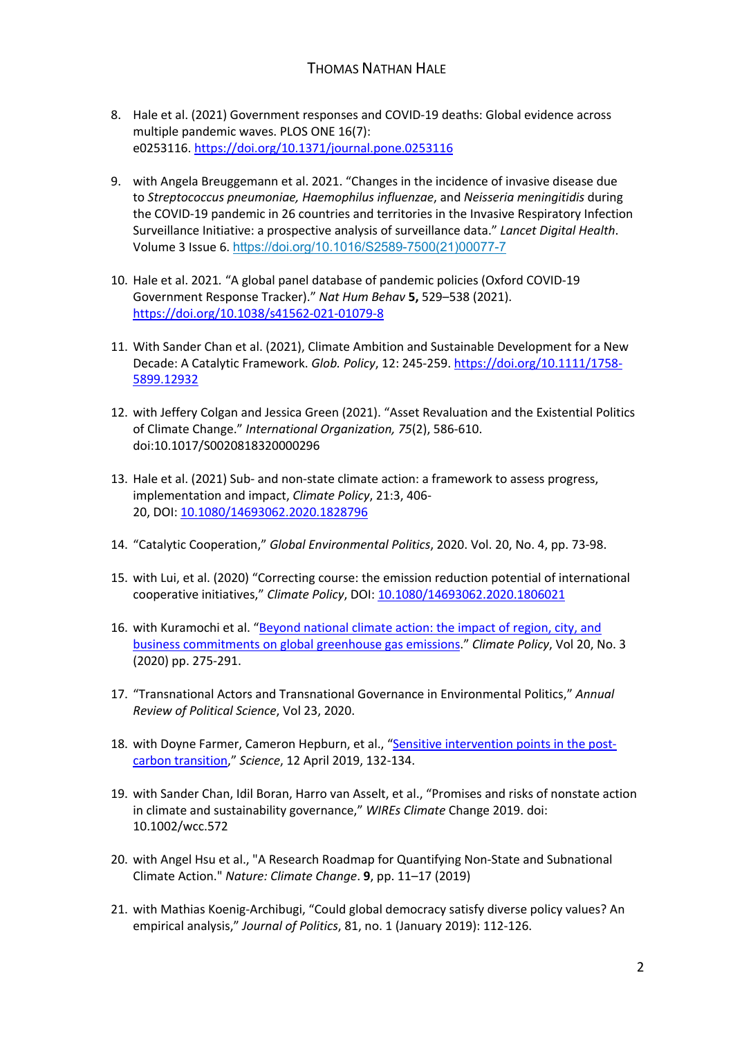- 8. Hale et al. (2021) Government responses and COVID-19 deaths: Global evidence across multiple pandemic waves. PLOS ONE 16(7): e0253116. https://doi.org/10.1371/journal.pone.0253116
- 9. with Angela Breuggemann et al. 2021. "Changes in the incidence of invasive disease due to *Streptococcus pneumoniae, Haemophilus influenzae*, and *Neisseria meningitidis* during the COVID-19 pandemic in 26 countries and territories in the Invasive Respiratory Infection Surveillance Initiative: a prospective analysis of surveillance data." *Lancet Digital Health*. Volume 3 Issue 6. https://doi.org/10.1016/S2589-7500(21)00077-7
- 10. Hale et al. 2021*.* "A global panel database of pandemic policies (Oxford COVID-19 Government Response Tracker)." *Nat Hum Behav* **5,** 529–538 (2021). https://doi.org/10.1038/s41562-021-01079-8
- 11. With Sander Chan et al. (2021), Climate Ambition and Sustainable Development for a New Decade: A Catalytic Framework. *Glob. Policy*, 12: 245-259. https://doi.org/10.1111/1758- 5899.12932
- 12. with Jeffery Colgan and Jessica Green (2021). "Asset Revaluation and the Existential Politics of Climate Change." *International Organization, 75*(2), 586-610. doi:10.1017/S0020818320000296
- 13. Hale et al. (2021) Sub- and non-state climate action: a framework to assess progress, implementation and impact, *Climate Policy*, 21:3, 406- 20, DOI: 10.1080/14693062.2020.1828796
- 14. "Catalytic Cooperation," *Global Environmental Politics*, 2020. Vol. 20, No. 4, pp. 73-98.
- 15. with Lui, et al. (2020) "Correcting course: the emission reduction potential of international cooperative initiatives," *Climate Policy*, DOI: 10.1080/14693062.2020.1806021
- 16. with Kuramochi et al. "Beyond national climate action: the impact of region, city, and business commitments on global greenhouse gas emissions." *Climate Policy*, Vol 20, No. 3 (2020) pp. 275-291.
- 17. "Transnational Actors and Transnational Governance in Environmental Politics," *Annual Review of Political Science*, Vol 23, 2020.
- 18. with Doyne Farmer, Cameron Hepburn, et al., "Sensitive intervention points in the postcarbon transition," *Science*, 12 April 2019, 132-134.
- 19. with Sander Chan, Idil Boran, Harro van Asselt, et al., "Promises and risks of nonstate action in climate and sustainability governance," *WIREs Climate* Change 2019. doi: 10.1002/wcc.572
- 20. with Angel Hsu et al., "A Research Roadmap for Quantifying Non-State and Subnational Climate Action." *Nature: Climate Change*. **9**, pp. 11–17 (2019)
- 21. with Mathias Koenig-Archibugi, "Could global democracy satisfy diverse policy values? An empirical analysis," *Journal of Politics*, 81, no. 1 (January 2019): 112-126.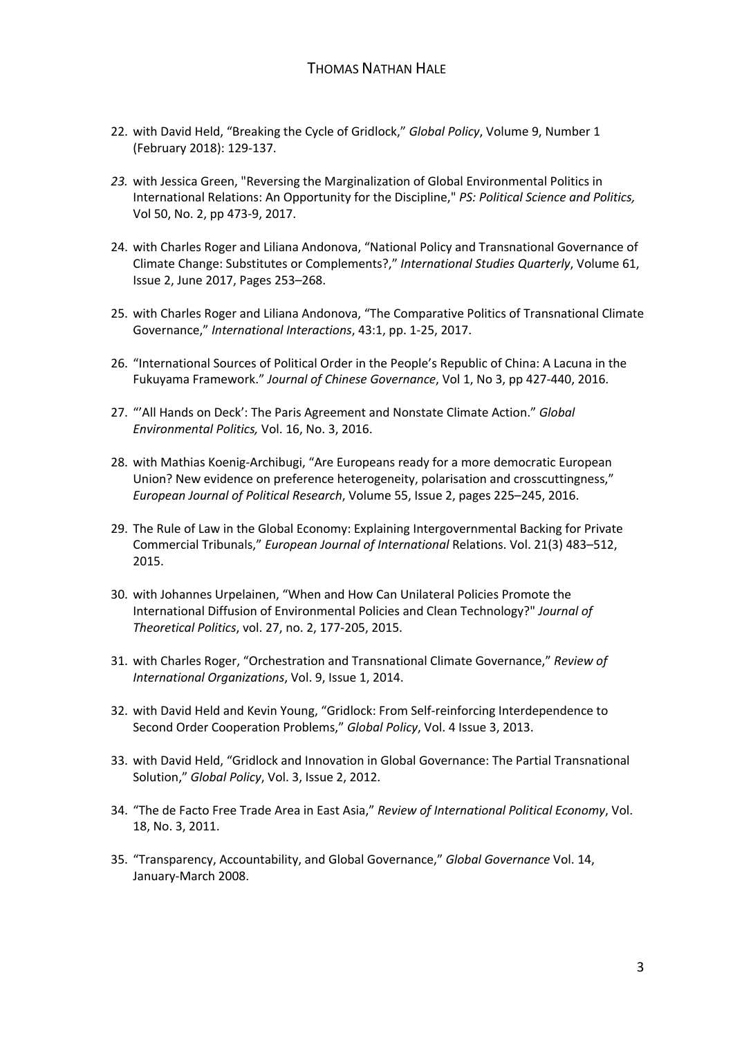- 22. with David Held, "Breaking the Cycle of Gridlock," *Global Policy*, Volume 9, Number 1 (February 2018): 129-137.
- *23.* with Jessica Green, "Reversing the Marginalization of Global Environmental Politics in International Relations: An Opportunity for the Discipline," *PS: Political Science and Politics,*  Vol 50, No. 2, pp 473-9, 2017.
- 24. with Charles Roger and Liliana Andonova, "National Policy and Transnational Governance of Climate Change: Substitutes or Complements?," *International Studies Quarterly*, Volume 61, Issue 2, June 2017, Pages 253–268.
- 25. with Charles Roger and Liliana Andonova, "The Comparative Politics of Transnational Climate Governance," *International Interactions*, 43:1, pp. 1-25, 2017.
- 26. "International Sources of Political Order in the People's Republic of China: A Lacuna in the Fukuyama Framework." *Journal of Chinese Governance*, Vol 1, No 3, pp 427-440, 2016.
- 27. "'All Hands on Deck': The Paris Agreement and Nonstate Climate Action." *Global Environmental Politics,* Vol. 16, No. 3, 2016.
- 28. with Mathias Koenig-Archibugi, "Are Europeans ready for a more democratic European Union? New evidence on preference heterogeneity, polarisation and crosscuttingness," *European Journal of Political Research*, Volume 55, Issue 2, pages 225–245, 2016.
- 29. The Rule of Law in the Global Economy: Explaining Intergovernmental Backing for Private Commercial Tribunals," *European Journal of International* Relations. Vol. 21(3) 483–512, 2015.
- 30. with Johannes Urpelainen, "When and How Can Unilateral Policies Promote the International Diffusion of Environmental Policies and Clean Technology?" *Journal of Theoretical Politics*, vol. 27, no. 2, 177-205, 2015.
- 31. with Charles Roger, "Orchestration and Transnational Climate Governance," *Review of International Organizations*, Vol. 9, Issue 1, 2014.
- 32. with David Held and Kevin Young, "Gridlock: From Self-reinforcing Interdependence to Second Order Cooperation Problems," *Global Policy*, Vol. 4 Issue 3, 2013.
- 33. with David Held, "Gridlock and Innovation in Global Governance: The Partial Transnational Solution," *Global Policy*, Vol. 3, Issue 2, 2012.
- 34. "The de Facto Free Trade Area in East Asia," *Review of International Political Economy*, Vol. 18, No. 3, 2011.
- 35. "Transparency, Accountability, and Global Governance," *Global Governance* Vol. 14, January-March 2008.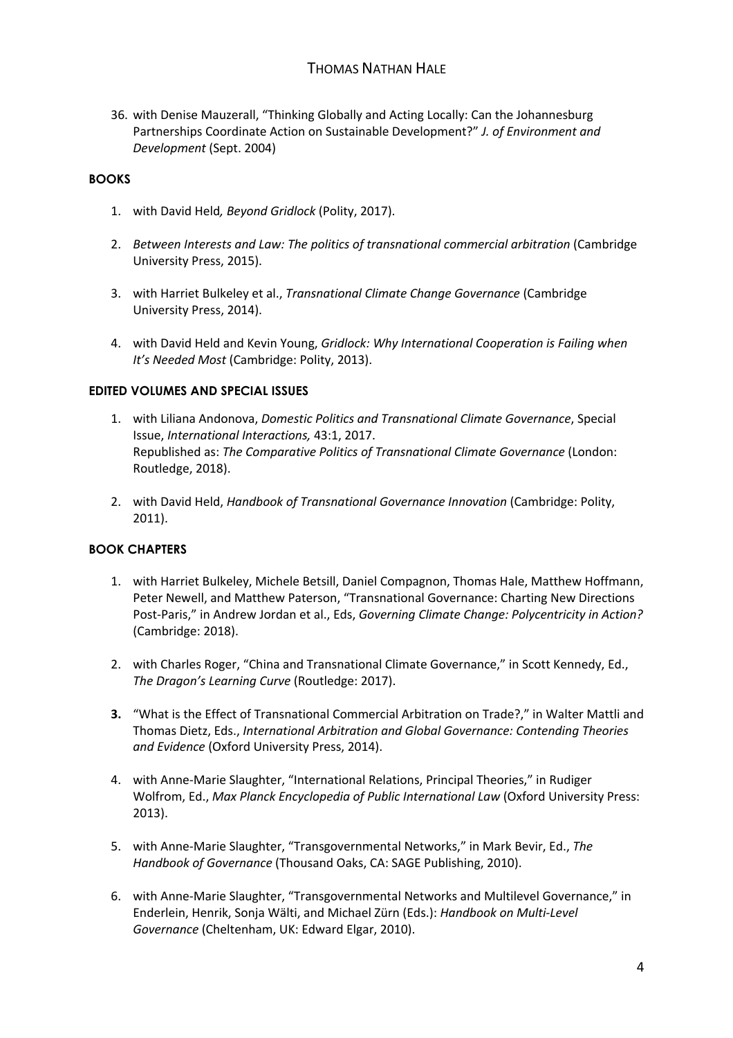36. with Denise Mauzerall, "Thinking Globally and Acting Locally: Can the Johannesburg Partnerships Coordinate Action on Sustainable Development?" *J. of Environment and Development* (Sept. 2004)

### **BOOKS**

- 1. with David Held*, Beyond Gridlock* (Polity, 2017).
- 2. *Between Interests and Law: The politics of transnational commercial arbitration* (Cambridge University Press, 2015).
- 3. with Harriet Bulkeley et al., *Transnational Climate Change Governance* (Cambridge University Press, 2014).
- 4. with David Held and Kevin Young, *Gridlock: Why International Cooperation is Failing when It's Needed Most* (Cambridge: Polity, 2013).

### **EDITED VOLUMES AND SPECIAL ISSUES**

- 1. with Liliana Andonova, *Domestic Politics and Transnational Climate Governance*, Special Issue, *International Interactions,* 43:1, 2017. Republished as: *The Comparative Politics of Transnational Climate Governance* (London: Routledge, 2018).
- 2. with David Held, *Handbook of Transnational Governance Innovation* (Cambridge: Polity, 2011).

## **BOOK CHAPTERS**

- 1. with Harriet Bulkeley, Michele Betsill, Daniel Compagnon, Thomas Hale, Matthew Hoffmann, Peter Newell, and Matthew Paterson, "Transnational Governance: Charting New Directions Post-Paris," in Andrew Jordan et al., Eds, *Governing Climate Change: Polycentricity in Action?* (Cambridge: 2018).
- 2. with Charles Roger, "China and Transnational Climate Governance," in Scott Kennedy, Ed., *The Dragon's Learning Curve* (Routledge: 2017).
- **3.** "What is the Effect of Transnational Commercial Arbitration on Trade?," in Walter Mattli and Thomas Dietz, Eds., *International Arbitration and Global Governance: Contending Theories and Evidence* (Oxford University Press, 2014).
- 4. with Anne-Marie Slaughter, "International Relations, Principal Theories," in Rudiger Wolfrom, Ed., *Max Planck Encyclopedia of Public International Law* (Oxford University Press: 2013).
- 5. with Anne-Marie Slaughter, "Transgovernmental Networks," in Mark Bevir, Ed., *The Handbook of Governance* (Thousand Oaks, CA: SAGE Publishing, 2010).
- 6. with Anne-Marie Slaughter, "Transgovernmental Networks and Multilevel Governance," in Enderlein, Henrik, Sonja Wälti, and Michael Zürn (Eds.): *Handbook on Multi-Level Governance* (Cheltenham, UK: Edward Elgar, 2010).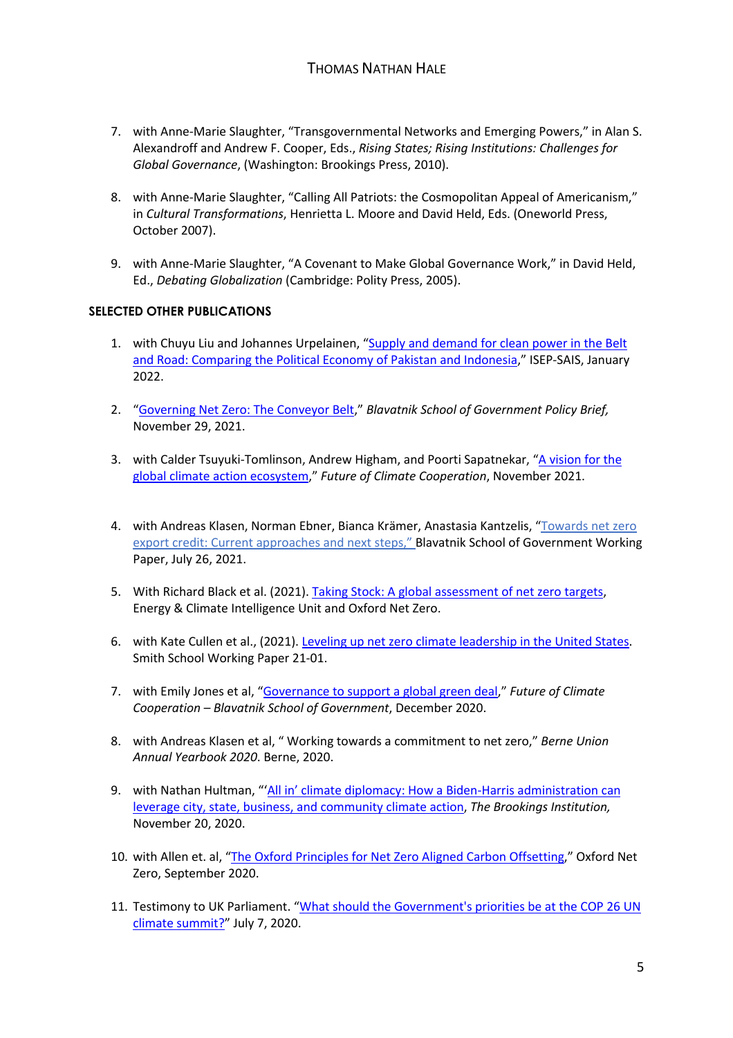- 7. with Anne-Marie Slaughter, "Transgovernmental Networks and Emerging Powers," in Alan S. Alexandroff and Andrew F. Cooper, Eds., *Rising States; Rising Institutions: Challenges for Global Governance*, (Washington: Brookings Press, 2010).
- 8. with Anne-Marie Slaughter, "Calling All Patriots: the Cosmopolitan Appeal of Americanism," in *Cultural Transformations*, Henrietta L. Moore and David Held, Eds. (Oneworld Press, October 2007).
- 9. with Anne-Marie Slaughter, "A Covenant to Make Global Governance Work," in David Held, Ed., *Debating Globalization* (Cambridge: Polity Press, 2005).

## **SELECTED OTHER PUBLICATIONS**

- 1. with Chuyu Liu and Johannes Urpelainen, "Supply and demand for clean power in the Belt and Road: Comparing the Political Economy of Pakistan and Indonesia," ISEP-SAIS, January 2022.
- 2. "Governing Net Zero: The Conveyor Belt," *Blavatnik School of Government Policy Brief,*  November 29, 2021.
- 3. with Calder Tsuyuki-Tomlinson, Andrew Higham, and Poorti Sapatnekar, "A vision for the global climate action ecosystem," *Future of Climate Cooperation*, November 2021.
- 4. with Andreas Klasen, Norman Ebner, Bianca Krämer, Anastasia Kantzelis, "Towards net zero export credit: Current approaches and next steps," Blavatnik School of Government Working Paper, July 26, 2021.
- 5. With Richard Black et al. (2021). Taking Stock: A global assessment of net zero targets, Energy & Climate Intelligence Unit and Oxford Net Zero.
- 6. with Kate Cullen et al., (2021). Leveling up net zero climate leadership in the United States. Smith School Working Paper 21-01.
- 7. with Emily Jones et al, "Governance to support a global green deal," *Future of Climate Cooperation – Blavatnik School of Government*, December 2020.
- 8. with Andreas Klasen et al, " Working towards a commitment to net zero," *Berne Union Annual Yearbook 2020*. Berne, 2020.
- 9. with Nathan Hultman, "'All in' climate diplomacy: How a Biden-Harris administration can leverage city, state, business, and community climate action, *The Brookings Institution,* November 20, 2020.
- 10. with Allen et. al, "The Oxford Principles for Net Zero Aligned Carbon Offsetting," Oxford Net Zero, September 2020.
- 11. Testimony to UK Parliament. "What should the Government's priorities be at the COP 26 UN climate summit?" July 7, 2020.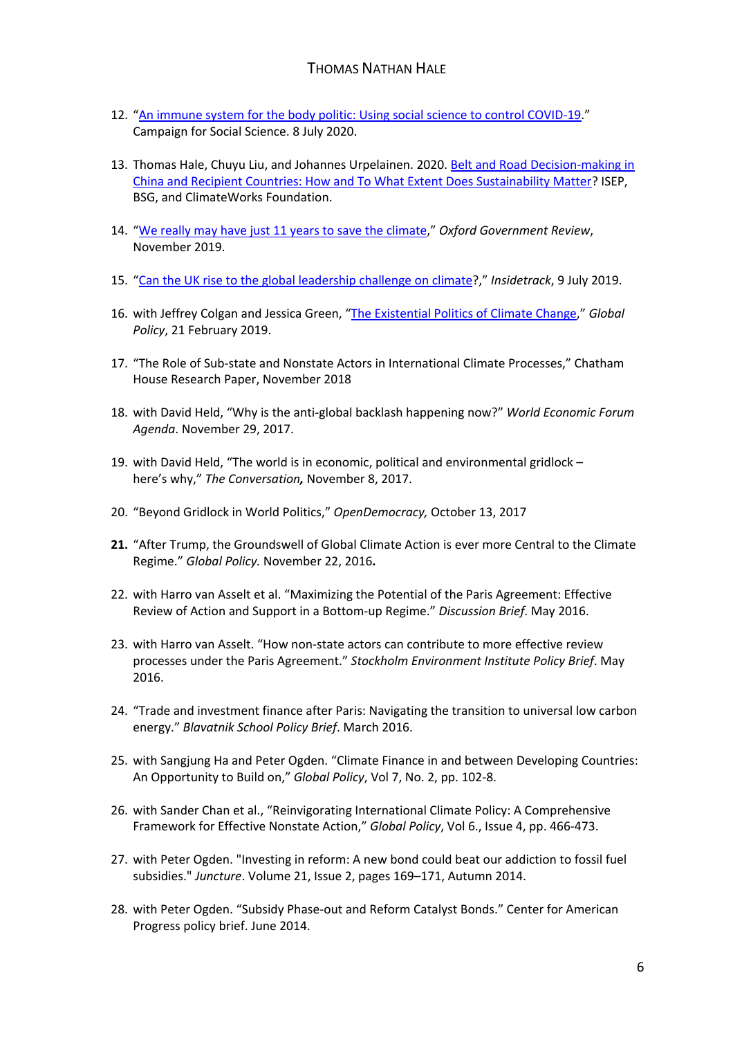- 12. "An immune system for the body politic: Using social science to control COVID-19." Campaign for Social Science. 8 July 2020.
- 13. Thomas Hale, Chuyu Liu, and Johannes Urpelainen. 2020. Belt and Road Decision-making in China and Recipient Countries: How and To What Extent Does Sustainability Matter? ISEP, BSG, and ClimateWorks Foundation.
- 14. "We really may have just 11 years to save the climate," *Oxford Government Review*, November 2019.
- 15. "Can the UK rise to the global leadership challenge on climate?," *Insidetrack*, 9 July 2019.
- 16. with Jeffrey Colgan and Jessica Green, "The Existential Politics of Climate Change," *Global Policy*, 21 February 2019.
- 17. "The Role of Sub-state and Nonstate Actors in International Climate Processes," Chatham House Research Paper, November 2018
- 18. with David Held, "Why is the anti-global backlash happening now?" *World Economic Forum Agenda*. November 29, 2017.
- 19. with David Held, "The world is in economic, political and environmental gridlock here's why," *The Conversation,* November 8, 2017.
- 20. "Beyond Gridlock in World Politics," *OpenDemocracy,* October 13, 2017
- **21.** "After Trump, the Groundswell of Global Climate Action is ever more Central to the Climate Regime." *Global Policy.* November 22, 2016**.**
- 22. with Harro van Asselt et al. "Maximizing the Potential of the Paris Agreement: Effective Review of Action and Support in a Bottom-up Regime." *Discussion Brief*. May 2016.
- 23. with Harro van Asselt. "How non-state actors can contribute to more effective review processes under the Paris Agreement." *Stockholm Environment Institute Policy Brief*. May 2016.
- 24. "Trade and investment finance after Paris: Navigating the transition to universal low carbon energy." *Blavatnik School Policy Brief*. March 2016.
- 25. with Sangjung Ha and Peter Ogden. "Climate Finance in and between Developing Countries: An Opportunity to Build on," *Global Policy*, Vol 7, No. 2, pp. 102-8.
- 26. with Sander Chan et al., "Reinvigorating International Climate Policy: A Comprehensive Framework for Effective Nonstate Action," *Global Policy*, Vol 6., Issue 4, pp. 466-473.
- 27. with Peter Ogden. "Investing in reform: A new bond could beat our addiction to fossil fuel subsidies." *Juncture*. Volume 21, Issue 2, pages 169–171, Autumn 2014.
- 28. with Peter Ogden. "Subsidy Phase-out and Reform Catalyst Bonds." Center for American Progress policy brief. June 2014.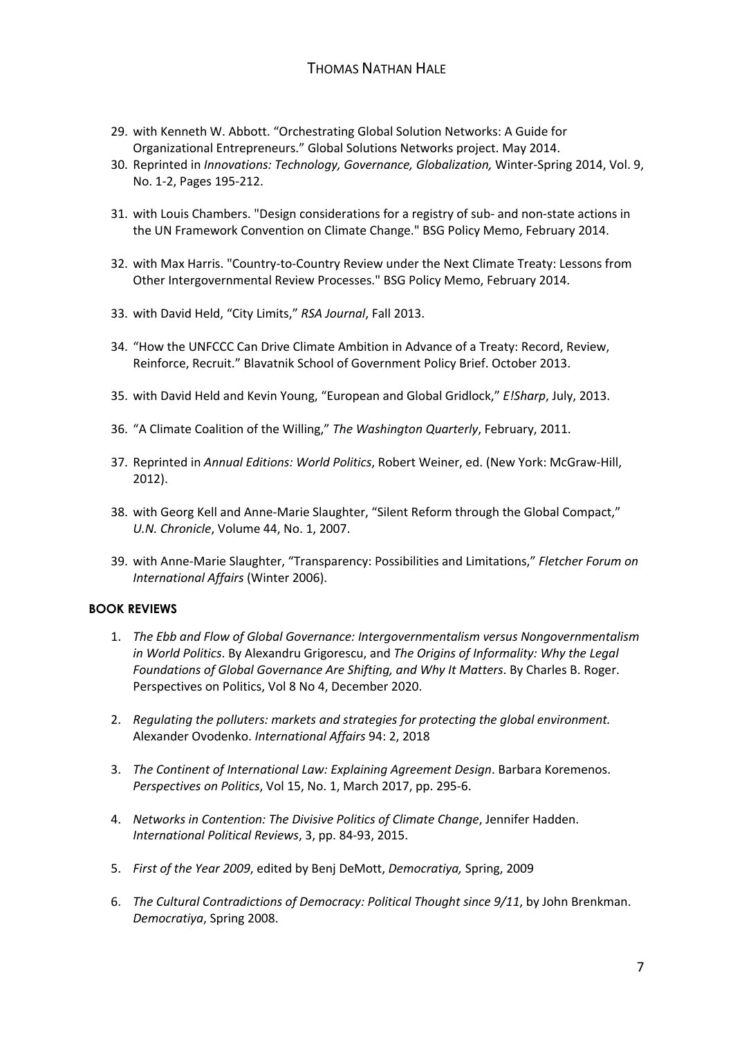- 29. with Kenneth W. Abbott. "Orchestrating Global Solution Networks: A Guide for Organizational Entrepreneurs." Global Solutions Networks project. May 2014.
- 30. Reprinted in *Innovations: Technology, Governance, Globalization,* Winter-Spring 2014, Vol. 9, No. 1-2, Pages 195-212.
- 31. with Louis Chambers. "Design considerations for a registry of sub- and non-state actions in the UN Framework Convention on Climate Change." BSG Policy Memo, February 2014.
- 32. with Max Harris. "Country-to-Country Review under the Next Climate Treaty: Lessons from Other Intergovernmental Review Processes." BSG Policy Memo, February 2014.
- 33. with David Held, "City Limits," *RSA Journal*, Fall 2013.
- 34. "How the UNFCCC Can Drive Climate Ambition in Advance of a Treaty: Record, Review, Reinforce, Recruit." Blavatnik School of Government Policy Brief. October 2013.
- 35. with David Held and Kevin Young, "European and Global Gridlock," *E!Sharp*, July, 2013.
- 36. "A Climate Coalition of the Willing," *The Washington Quarterly*, February, 2011.
- 37. Reprinted in *Annual Editions: World Politics*, Robert Weiner, ed. (New York: McGraw-Hill, 2012).
- 38. with Georg Kell and Anne-Marie Slaughter, "Silent Reform through the Global Compact," *U.N. Chronicle*, Volume 44, No. 1, 2007.
- 39. with Anne-Marie Slaughter, "Transparency: Possibilities and Limitations," *Fletcher Forum on International Affairs* (Winter 2006).

#### **BOOK REVIEWS**

- 1. *The Ebb and Flow of Global Governance: Intergovernmentalism versus Nongovernmentalism in World Politics*. By Alexandru Grigorescu, and *The Origins of Informality: Why the Legal Foundations of Global Governance Are Shifting, and Why It Matters*. By Charles B. Roger. Perspectives on Politics, Vol 8 No 4, December 2020.
- 2. *Regulating the polluters: markets and strategies for protecting the global environment.*  Alexander Ovodenko. *International Affairs* 94: 2, 2018
- 3. *The Continent of International Law: Explaining Agreement Design*. Barbara Koremenos. *Perspectives on Politics*, Vol 15, No. 1, March 2017, pp. 295-6.
- 4. *Networks in Contention: The Divisive Politics of Climate Change*, Jennifer Hadden. *International Political Reviews*, 3, pp. 84-93, 2015.
- 5. *First of the Year 2009*, edited by Benj DeMott, *Democratiya,* Spring, 2009
- 6. *The Cultural Contradictions of Democracy: Political Thought since 9/11*, by John Brenkman. *Democratiya*, Spring 2008.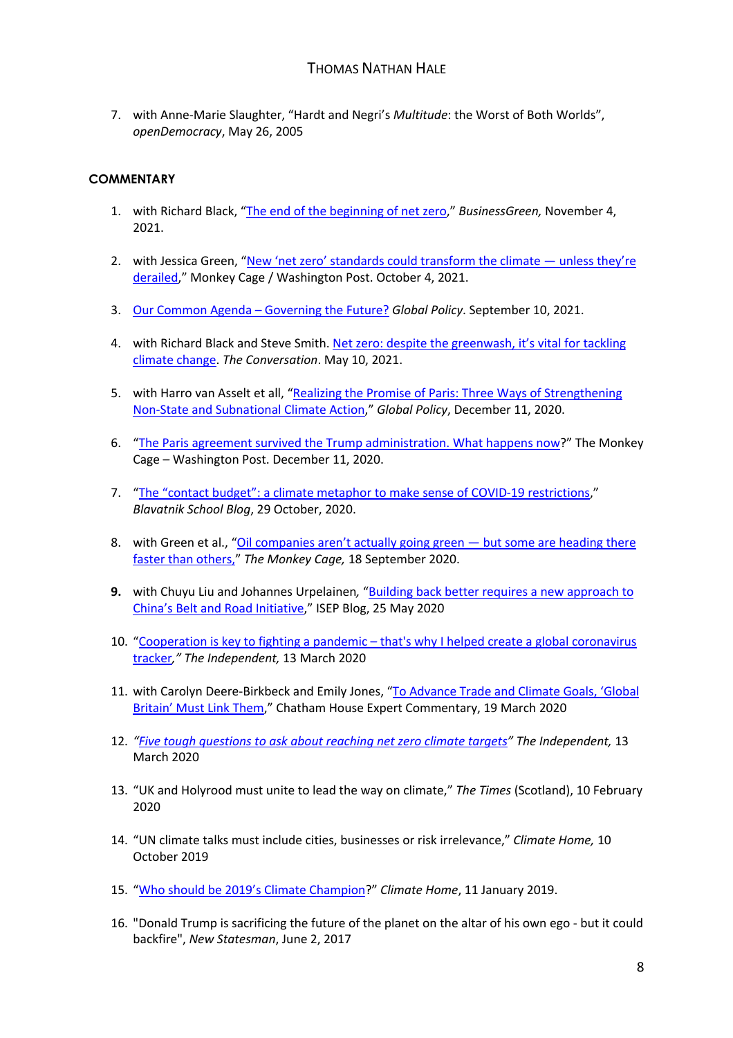7. with Anne-Marie Slaughter, "Hardt and Negri's *Multitude*: the Worst of Both Worlds", *openDemocracy*, May 26, 2005

## **COMMENTARY**

- 1. with Richard Black, "The end of the beginning of net zero," *BusinessGreen,* November 4, 2021.
- 2. with Jessica Green, "New 'net zero' standards could transform the climate unless they're derailed," Monkey Cage / Washington Post. October 4, 2021.
- 3. Our Common Agenda Governing the Future? *Global Policy*. September 10, 2021.
- 4. with Richard Black and Steve Smith. Net zero: despite the greenwash, it's vital for tackling climate change. *The Conversation*. May 10, 2021.
- 5. with Harro van Asselt et all, "Realizing the Promise of Paris: Three Ways of Strengthening Non-State and Subnational Climate Action," *Global Policy*, December 11, 2020.
- 6. "The Paris agreement survived the Trump administration. What happens now?" The Monkey Cage – Washington Post. December 11, 2020.
- 7. "The "contact budget": a climate metaphor to make sense of COVID-19 restrictions," *Blavatnik School Blog*, 29 October, 2020.
- 8. with Green et al., "Oil companies aren't actually going green but some are heading there faster than others," *The Monkey Cage,* 18 September 2020.
- **9.** with Chuyu Liu and Johannes Urpelainen*,* "Building back better requires a new approach to China's Belt and Road Initiative," ISEP Blog, 25 May 2020
- 10. "Cooperation is key to fighting a pandemic that's why I helped create a global coronavirus tracker*," The Independent,* 13 March 2020
- 11. with Carolyn Deere-Birkbeck and Emily Jones, "To Advance Trade and Climate Goals, 'Global Britain' Must Link Them," Chatham House Expert Commentary, 19 March 2020
- 12. *"Five tough questions to ask about reaching net zero climate targets" The Independent,* 13 March 2020
- 13. "UK and Holyrood must unite to lead the way on climate," *The Times* (Scotland), 10 February 2020
- 14. "UN climate talks must include cities, businesses or risk irrelevance," *Climate Home,* 10 October 2019
- 15. "Who should be 2019's Climate Champion?" *Climate Home*, 11 January 2019.
- 16. "Donald Trump is sacrificing the future of the planet on the altar of his own ego but it could backfire", *New Statesman*, June 2, 2017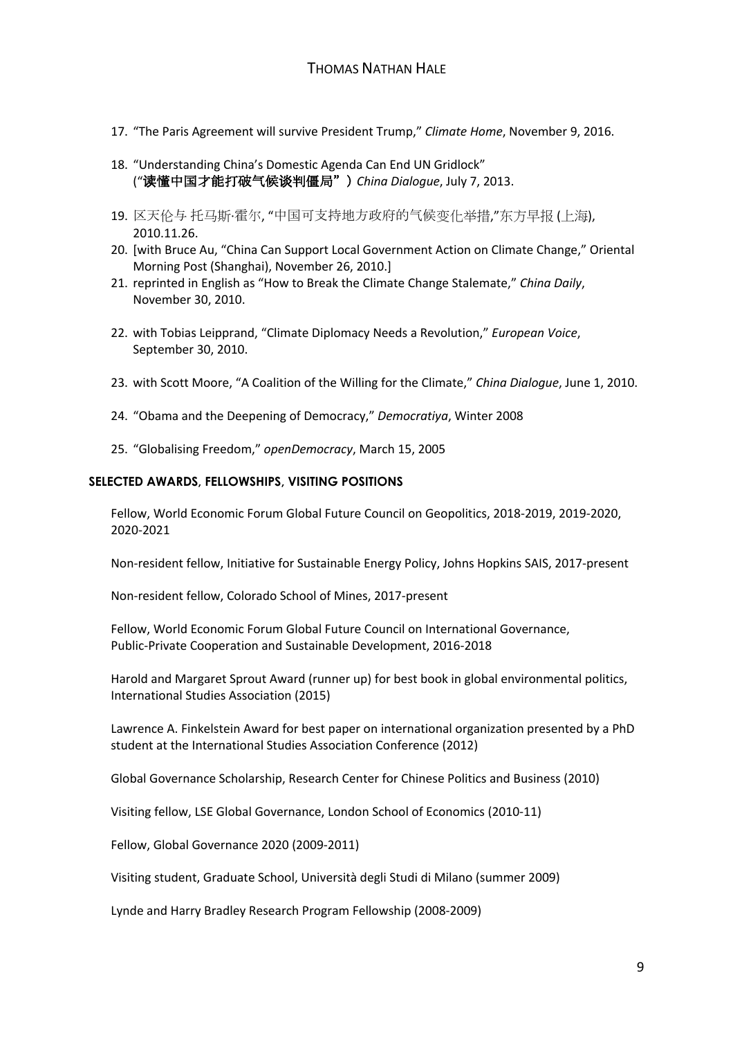- 17. "The Paris Agreement will survive President Trump," *Climate Home*, November 9, 2016.
- 18. "Understanding China's Domestic Agenda Can End UN Gridlock" ("读懂中国才能打破气候谈判僵局") *China Dialogue*, July 7, 2013.
- 19. 区天伦与 托马斯·霍尔, "中国可支持地方政府的气候变化举措,"东方早报 (上海), 2010.11.26.
- 20. [with Bruce Au, "China Can Support Local Government Action on Climate Change," Oriental Morning Post (Shanghai), November 26, 2010.]
- 21. reprinted in English as "How to Break the Climate Change Stalemate," *China Daily*, November 30, 2010.
- 22. with Tobias Leipprand, "Climate Diplomacy Needs a Revolution," *European Voice*, September 30, 2010.
- 23. with Scott Moore, "A Coalition of the Willing for the Climate," *China Dialogue*, June 1, 2010.
- 24. "Obama and the Deepening of Democracy," *Democratiya*, Winter 2008
- 25. "Globalising Freedom," *openDemocracy*, March 15, 2005

### **SELECTED AWARDS, FELLOWSHIPS, VISITING POSITIONS**

Fellow, World Economic Forum Global Future Council on Geopolitics, 2018-2019, 2019-2020, 2020-2021

Non-resident fellow, Initiative for Sustainable Energy Policy, Johns Hopkins SAIS, 2017-present

Non-resident fellow, Colorado School of Mines, 2017-present

Fellow, World Economic Forum Global Future Council on International Governance, Public-Private Cooperation and Sustainable Development, 2016-2018

Harold and Margaret Sprout Award (runner up) for best book in global environmental politics, International Studies Association (2015)

Lawrence A. Finkelstein Award for best paper on international organization presented by a PhD student at the International Studies Association Conference (2012)

Global Governance Scholarship, Research Center for Chinese Politics and Business (2010)

Visiting fellow, LSE Global Governance, London School of Economics (2010-11)

Fellow, Global Governance 2020 (2009-2011)

Visiting student, Graduate School, Università degli Studi di Milano (summer 2009)

Lynde and Harry Bradley Research Program Fellowship (2008-2009)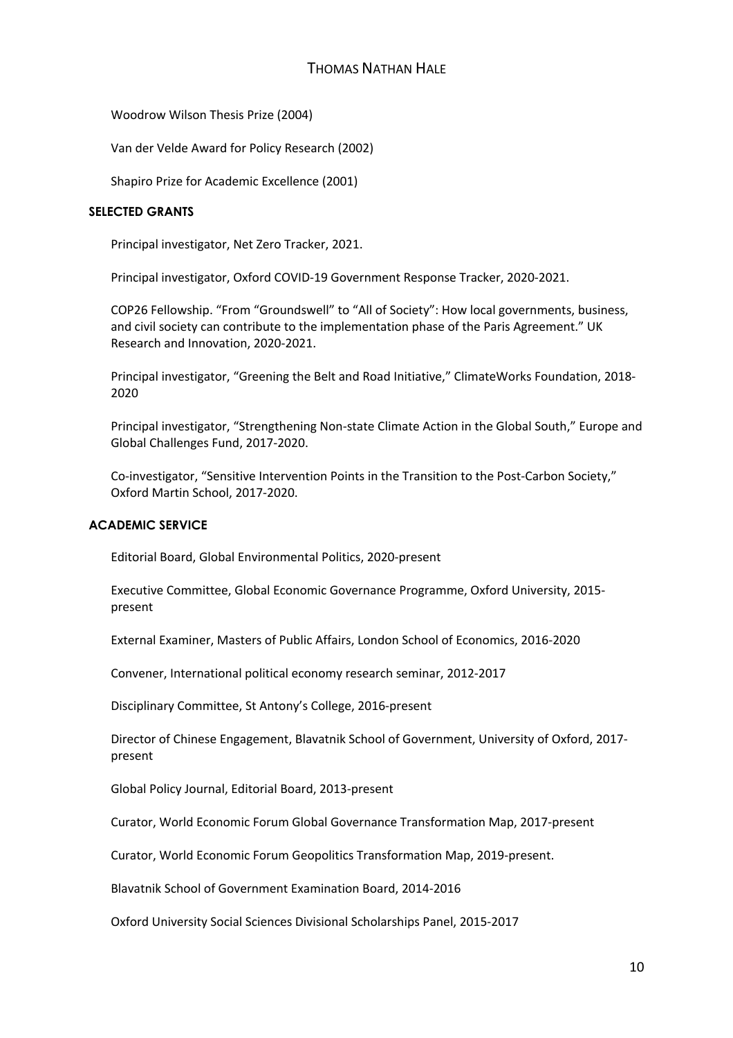Woodrow Wilson Thesis Prize (2004)

Van der Velde Award for Policy Research (2002)

Shapiro Prize for Academic Excellence (2001)

### **SELECTED GRANTS**

Principal investigator, Net Zero Tracker, 2021.

Principal investigator, Oxford COVID-19 Government Response Tracker, 2020-2021.

COP26 Fellowship. "From "Groundswell" to "All of Society": How local governments, business, and civil society can contribute to the implementation phase of the Paris Agreement." UK Research and Innovation, 2020-2021.

Principal investigator, "Greening the Belt and Road Initiative," ClimateWorks Foundation, 2018- 2020

Principal investigator, "Strengthening Non-state Climate Action in the Global South," Europe and Global Challenges Fund, 2017-2020.

Co-investigator, "Sensitive Intervention Points in the Transition to the Post-Carbon Society," Oxford Martin School, 2017-2020.

#### **ACADEMIC SERVICE**

Editorial Board, Global Environmental Politics, 2020-present

Executive Committee, Global Economic Governance Programme, Oxford University, 2015 present

External Examiner, Masters of Public Affairs, London School of Economics, 2016-2020

Convener, International political economy research seminar, 2012-2017

Disciplinary Committee, St Antony's College, 2016-present

Director of Chinese Engagement, Blavatnik School of Government, University of Oxford, 2017 present

Global Policy Journal, Editorial Board, 2013-present

Curator, World Economic Forum Global Governance Transformation Map, 2017-present

Curator, World Economic Forum Geopolitics Transformation Map, 2019-present.

Blavatnik School of Government Examination Board, 2014-2016

Oxford University Social Sciences Divisional Scholarships Panel, 2015-2017